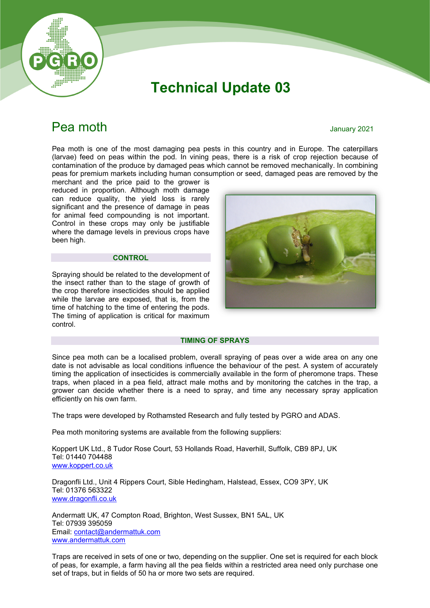

# Technical Update 03

## **Pea moth** January 2021

Pea moth is one of the most damaging pea pests in this country and in Europe. The caterpillars (larvae) feed on peas within the pod. In vining peas, there is a risk of crop rejection because of contamination of the produce by damaged peas which cannot be removed mechanically. In combining peas for premium markets including human consumption or seed, damaged peas are removed by the

merchant and the price paid to the grower is reduced in proportion. Although moth damage can reduce quality, the yield loss is rarely significant and the presence of damage in peas for animal feed compounding is not important. Control in these crops may only be justifiable where the damage levels in previous crops have been high.

#### **CONTROL**

Spraying should be related to the development of the insect rather than to the stage of growth of the crop therefore insecticides should be applied while the larvae are exposed, that is, from the time of hatching to the time of entering the pods. The timing of application is critical for maximum control.



#### TIMING OF SPRAYS

Since pea moth can be a localised problem, overall spraying of peas over a wide area on any one date is not advisable as local conditions influence the behaviour of the pest. A system of accurately timing the application of insecticides is commercially available in the form of pheromone traps. These traps, when placed in a pea field, attract male moths and by monitoring the catches in the trap, a grower can decide whether there is a need to spray, and time any necessary spray application efficiently on his own farm.

The traps were developed by Rothamsted Research and fully tested by PGRO and ADAS.

Pea moth monitoring systems are available from the following suppliers:

Koppert UK Ltd., 8 Tudor Rose Court, 53 Hollands Road, Haverhill, Suffolk, CB9 8PJ, UK Tel: 01440 704488 www.koppert.co.uk

Dragonfli Ltd., Unit 4 Rippers Court, Sible Hedingham, Halstead, Essex, CO9 3PY, UK Tel: 01376 563322 www.dragonfli.co.uk

Andermatt UK, 47 Compton Road, Brighton, West Sussex, BN1 5AL, UK Tel: 07939 395059 Email: contact@andermattuk.com www.andermattuk.com

Traps are received in sets of one or two, depending on the supplier. One set is required for each block of peas, for example, a farm having all the pea fields within a restricted area need only purchase one set of traps, but in fields of 50 ha or more two sets are required.